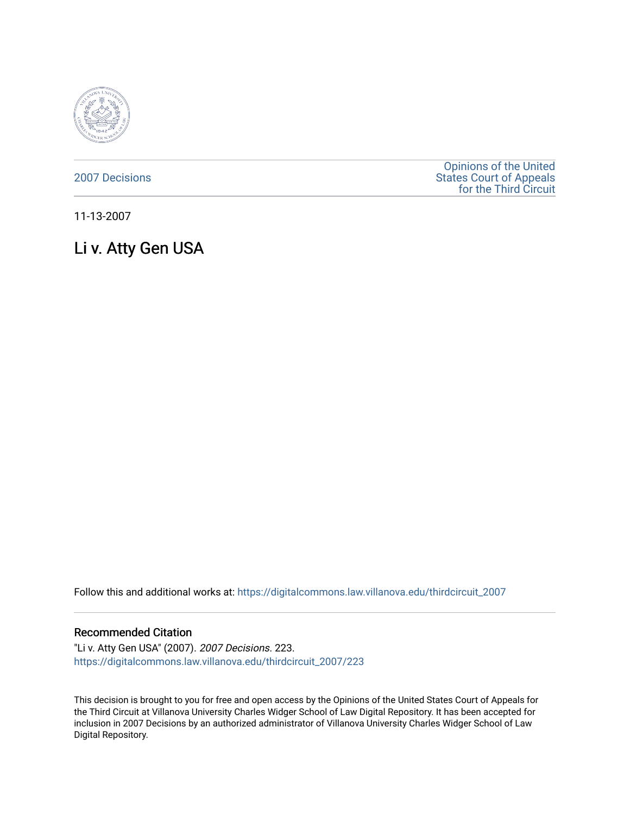

[2007 Decisions](https://digitalcommons.law.villanova.edu/thirdcircuit_2007)

[Opinions of the United](https://digitalcommons.law.villanova.edu/thirdcircuit)  [States Court of Appeals](https://digitalcommons.law.villanova.edu/thirdcircuit)  [for the Third Circuit](https://digitalcommons.law.villanova.edu/thirdcircuit) 

11-13-2007

# Li v. Atty Gen USA

Follow this and additional works at: [https://digitalcommons.law.villanova.edu/thirdcircuit\\_2007](https://digitalcommons.law.villanova.edu/thirdcircuit_2007?utm_source=digitalcommons.law.villanova.edu%2Fthirdcircuit_2007%2F223&utm_medium=PDF&utm_campaign=PDFCoverPages) 

### Recommended Citation

"Li v. Atty Gen USA" (2007). 2007 Decisions. 223. [https://digitalcommons.law.villanova.edu/thirdcircuit\\_2007/223](https://digitalcommons.law.villanova.edu/thirdcircuit_2007/223?utm_source=digitalcommons.law.villanova.edu%2Fthirdcircuit_2007%2F223&utm_medium=PDF&utm_campaign=PDFCoverPages)

This decision is brought to you for free and open access by the Opinions of the United States Court of Appeals for the Third Circuit at Villanova University Charles Widger School of Law Digital Repository. It has been accepted for inclusion in 2007 Decisions by an authorized administrator of Villanova University Charles Widger School of Law Digital Repository.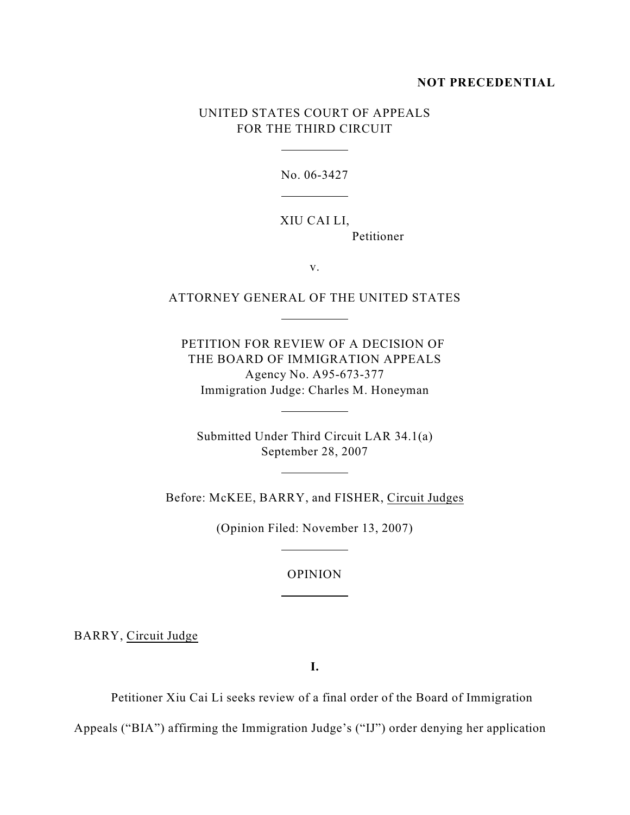# **NOT PRECEDENTIAL**

# UNITED STATES COURT OF APPEALS FOR THE THIRD CIRCUIT

 $\overline{a}$ 

 $\overline{a}$ 

 $\overline{a}$ 

 $\overline{a}$ 

 $\overline{a}$ 

 $\overline{a}$ 

 $\overline{a}$ 

No. 06-3427

# XIU CAI LI, Petitioner

v.

# ATTORNEY GENERAL OF THE UNITED STATES

PETITION FOR REVIEW OF A DECISION OF THE BOARD OF IMMIGRATION APPEALS Agency No. A95-673-377 Immigration Judge: Charles M. Honeyman

Submitted Under Third Circuit LAR 34.1(a) September 28, 2007

Before: McKEE, BARRY, and FISHER, Circuit Judges

(Opinion Filed: November 13, 2007)

#### OPINION

BARRY, Circuit Judge

**I.**

Petitioner Xiu Cai Li seeks review of a final order of the Board of Immigration

Appeals ("BIA") affirming the Immigration Judge's ("IJ") order denying her application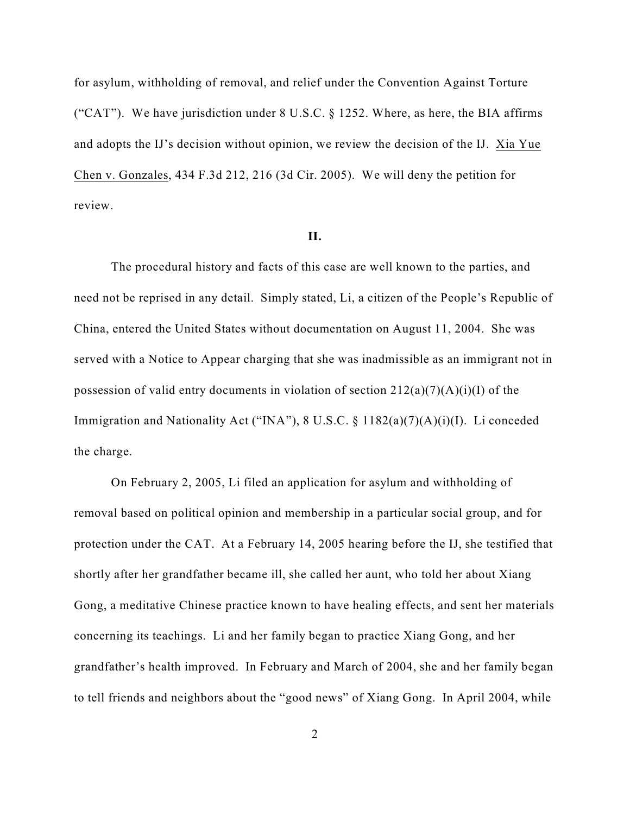for asylum, withholding of removal, and relief under the Convention Against Torture ("CAT"). We have jurisdiction under  $8$  U.S.C.  $\S$  1252. Where, as here, the BIA affirms and adopts the IJ's decision without opinion, we review the decision of the IJ. Xia Yue Chen v. Gonzales, 434 F.3d 212, 216 (3d Cir. 2005). We will deny the petition for review.

#### **II.**

The procedural history and facts of this case are well known to the parties, and need not be reprised in any detail. Simply stated, Li, a citizen of the People's Republic of China, entered the United States without documentation on August 11, 2004. She was served with a Notice to Appear charging that she was inadmissible as an immigrant not in possession of valid entry documents in violation of section  $212(a)(7)(A)(i)(I)$  of the Immigration and Nationality Act ("INA"), 8 U.S.C. § 1182(a)(7)(A)(i)(I). Li conceded the charge.

On February 2, 2005, Li filed an application for asylum and withholding of removal based on political opinion and membership in a particular social group, and for protection under the CAT. At a February 14, 2005 hearing before the IJ, she testified that shortly after her grandfather became ill, she called her aunt, who told her about Xiang Gong, a meditative Chinese practice known to have healing effects, and sent her materials concerning its teachings. Li and her family began to practice Xiang Gong, and her grandfather's health improved. In February and March of 2004, she and her family began to tell friends and neighbors about the "good news" of Xiang Gong. In April 2004, while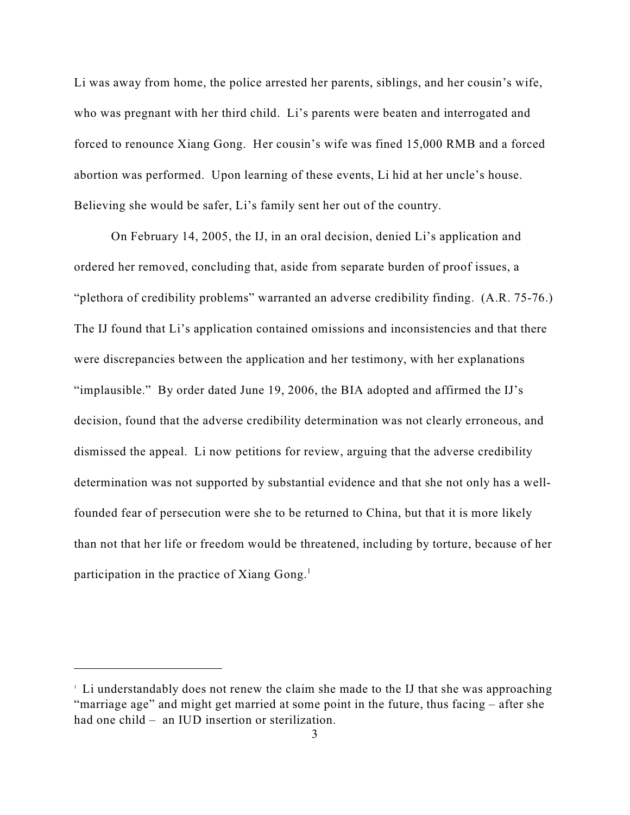Li was away from home, the police arrested her parents, siblings, and her cousin's wife, who was pregnant with her third child. Li's parents were beaten and interrogated and forced to renounce Xiang Gong. Her cousin's wife was fined 15,000 RMB and a forced abortion was performed. Upon learning of these events, Li hid at her uncle's house. Believing she would be safer, Li's family sent her out of the country.

On February 14, 2005, the IJ, in an oral decision, denied Li's application and ordered her removed, concluding that, aside from separate burden of proof issues, a "plethora of credibility problems" warranted an adverse credibility finding. (A.R. 75-76.) The IJ found that Li's application contained omissions and inconsistencies and that there were discrepancies between the application and her testimony, with her explanations "implausible." By order dated June 19, 2006, the BIA adopted and affirmed the IJ's decision, found that the adverse credibility determination was not clearly erroneous, and dismissed the appeal. Li now petitions for review, arguing that the adverse credibility determination was not supported by substantial evidence and that she not only has a wellfounded fear of persecution were she to be returned to China, but that it is more likely than not that her life or freedom would be threatened, including by torture, because of her participation in the practice of Xiang Gong. $<sup>1</sup>$ </sup>

Li understandably does not renew the claim she made to the IJ that she was approaching <sup>1</sup> "marriage age" and might get married at some point in the future, thus facing – after she had one child – an IUD insertion or sterilization.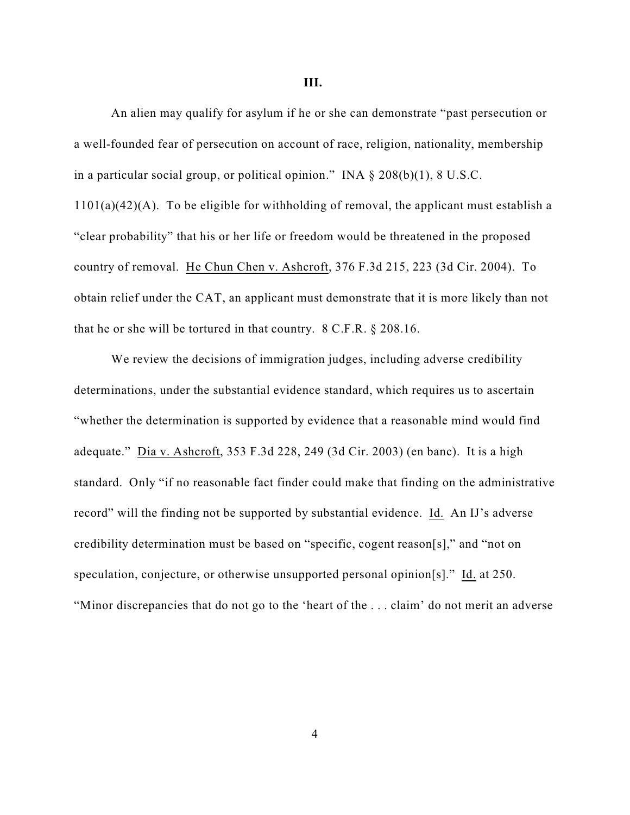#### **III.**

An alien may qualify for asylum if he or she can demonstrate "past persecution or a well-founded fear of persecution on account of race, religion, nationality, membership in a particular social group, or political opinion." INA § 208(b)(1), 8 U.S.C.  $1101(a)(42)(A)$ . To be eligible for withholding of removal, the applicant must establish a "clear probability" that his or her life or freedom would be threatened in the proposed country of removal. He Chun Chen v. Ashcroft, 376 F.3d 215, 223 (3d Cir. 2004). To obtain relief under the CAT, an applicant must demonstrate that it is more likely than not that he or she will be tortured in that country. 8 C.F.R. § 208.16.

We review the decisions of immigration judges, including adverse credibility determinations, under the substantial evidence standard, which requires us to ascertain "whether the determination is supported by evidence that a reasonable mind would find adequate." Dia v. Ashcroft, 353 F.3d 228, 249 (3d Cir. 2003) (en banc). It is a high standard. Only "if no reasonable fact finder could make that finding on the administrative record" will the finding not be supported by substantial evidence. Id. An IJ's adverse credibility determination must be based on "specific, cogent reason[s]," and "not on speculation, conjecture, or otherwise unsupported personal opinion[s]." Id. at 250. "Minor discrepancies that do not go to the 'heart of the . . . claim' do not merit an adverse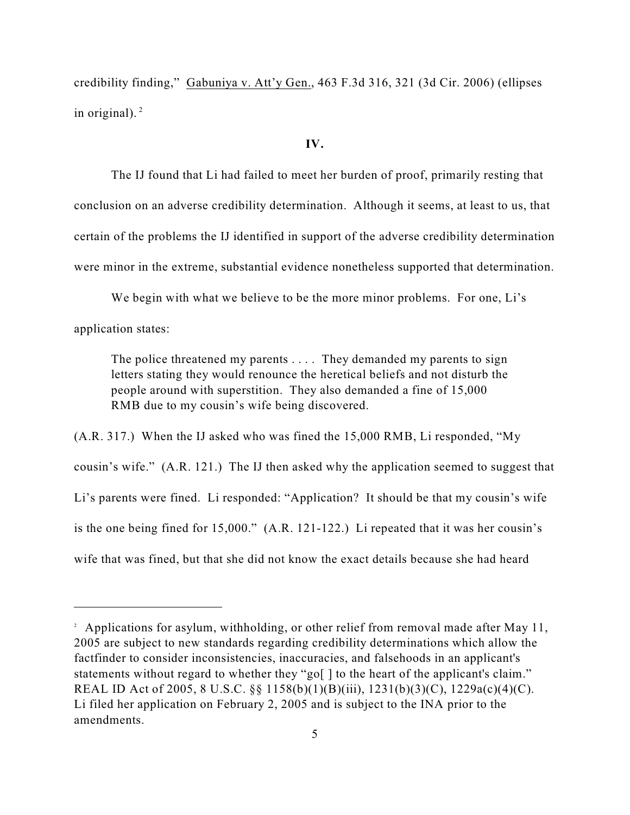credibility finding," Gabuniya v. Att'y Gen., 463 F.3d 316, 321 (3d Cir. 2006) (ellipses in original). $<sup>2</sup>$ </sup>

#### **IV.**

The IJ found that Li had failed to meet her burden of proof, primarily resting that conclusion on an adverse credibility determination. Although it seems, at least to us, that certain of the problems the IJ identified in support of the adverse credibility determination were minor in the extreme, substantial evidence nonetheless supported that determination.

We begin with what we believe to be the more minor problems. For one, Li's

application states:

The police threatened my parents . . . . They demanded my parents to sign letters stating they would renounce the heretical beliefs and not disturb the people around with superstition. They also demanded a fine of 15,000 RMB due to my cousin's wife being discovered.

(A.R. 317.) When the IJ asked who was fined the 15,000 RMB, Li responded, "My cousin's wife." (A.R. 121.) The IJ then asked why the application seemed to suggest that Li's parents were fined. Li responded: "Application? It should be that my cousin's wife is the one being fined for 15,000." (A.R. 121-122.) Li repeated that it was her cousin's wife that was fined, but that she did not know the exact details because she had heard

<sup>&</sup>lt;sup>2</sup> Applications for asylum, withholding, or other relief from removal made after May 11, 2005 are subject to new standards regarding credibility determinations which allow the factfinder to consider inconsistencies, inaccuracies, and falsehoods in an applicant's statements without regard to whether they "go[] to the heart of the applicant's claim." REAL ID Act of 2005, 8 U.S.C. §§ 1158(b)(1)(B)(iii), 1231(b)(3)(C), 1229a(c)(4)(C). Li filed her application on February 2, 2005 and is subject to the INA prior to the amendments.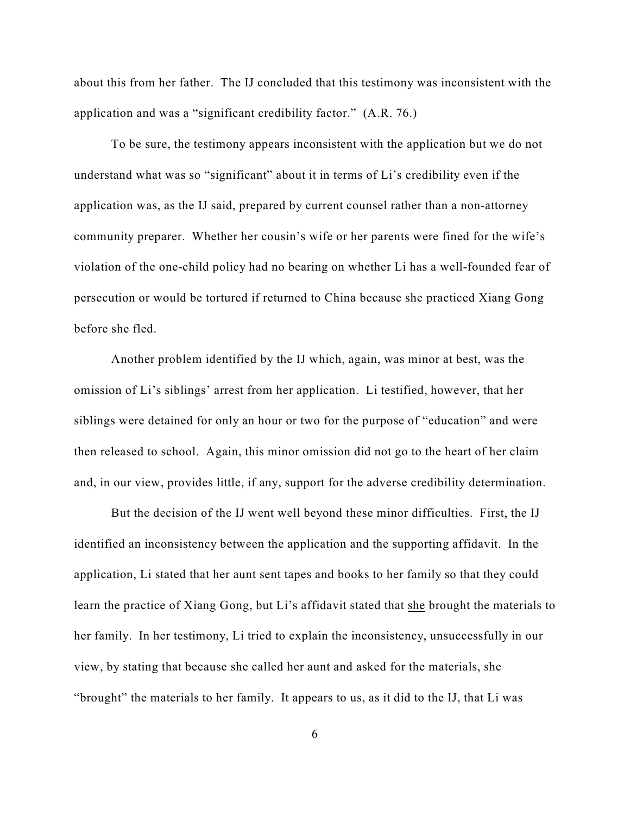about this from her father. The IJ concluded that this testimony was inconsistent with the application and was a "significant credibility factor." (A.R. 76.)

To be sure, the testimony appears inconsistent with the application but we do not understand what was so "significant" about it in terms of Li's credibility even if the application was, as the IJ said, prepared by current counsel rather than a non-attorney community preparer. Whether her cousin's wife or her parents were fined for the wife's violation of the one-child policy had no bearing on whether Li has a well-founded fear of persecution or would be tortured if returned to China because she practiced Xiang Gong before she fled.

Another problem identified by the IJ which, again, was minor at best, was the omission of Li's siblings' arrest from her application. Li testified, however, that her siblings were detained for only an hour or two for the purpose of "education" and were then released to school. Again, this minor omission did not go to the heart of her claim and, in our view, provides little, if any, support for the adverse credibility determination.

But the decision of the IJ went well beyond these minor difficulties. First, the IJ identified an inconsistency between the application and the supporting affidavit. In the application, Li stated that her aunt sent tapes and books to her family so that they could learn the practice of Xiang Gong, but Li's affidavit stated that she brought the materials to her family. In her testimony, Li tried to explain the inconsistency, unsuccessfully in our view, by stating that because she called her aunt and asked for the materials, she "brought" the materials to her family. It appears to us, as it did to the IJ, that Li was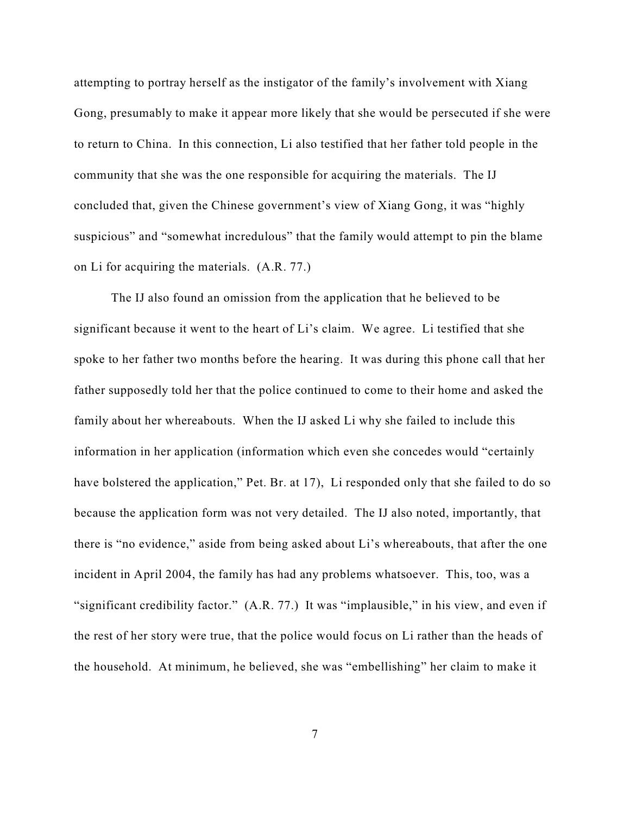attempting to portray herself as the instigator of the family's involvement with Xiang Gong, presumably to make it appear more likely that she would be persecuted if she were to return to China. In this connection, Li also testified that her father told people in the community that she was the one responsible for acquiring the materials. The IJ concluded that, given the Chinese government's view of Xiang Gong, it was "highly suspicious" and "somewhat incredulous" that the family would attempt to pin the blame on Li for acquiring the materials. (A.R. 77.)

The IJ also found an omission from the application that he believed to be significant because it went to the heart of Li's claim. We agree. Li testified that she spoke to her father two months before the hearing. It was during this phone call that her father supposedly told her that the police continued to come to their home and asked the family about her whereabouts. When the IJ asked Li why she failed to include this information in her application (information which even she concedes would "certainly have bolstered the application," Pet. Br. at 17), Li responded only that she failed to do so because the application form was not very detailed. The IJ also noted, importantly, that there is "no evidence," aside from being asked about Li's whereabouts, that after the one incident in April 2004, the family has had any problems whatsoever. This, too, was a "significant credibility factor." (A.R. 77.) It was "implausible," in his view, and even if the rest of her story were true, that the police would focus on Li rather than the heads of the household. At minimum, he believed, she was "embellishing" her claim to make it